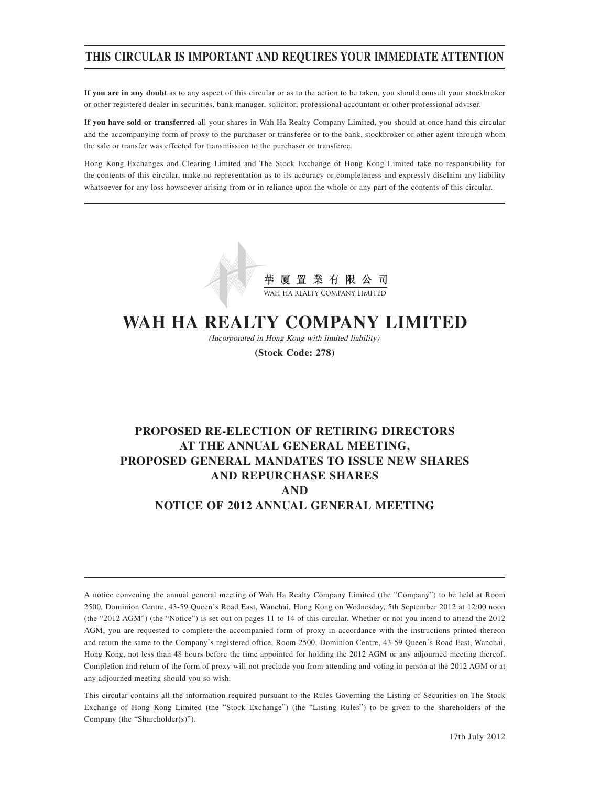## **THIS CIRCULAR IS IMPORTANT AND REQUIRES YOUR IMMEDIATE ATTENTION**

**If you are in any doubt** as to any aspect of this circular or as to the action to be taken, you should consult your stockbroker or other registered dealer in securities, bank manager, solicitor, professional accountant or other professional adviser.

**If you have sold or transferred** all your shares in Wah Ha Realty Company Limited, you should at once hand this circular and the accompanying form of proxy to the purchaser or transferee or to the bank, stockbroker or other agent through whom the sale or transfer was effected for transmission to the purchaser or transferee.

Hong Kong Exchanges and Clearing Limited and The Stock Exchange of Hong Kong Limited take no responsibility for the contents of this circular, make no representation as to its accuracy or completeness and expressly disclaim any liability whatsoever for any loss howsoever arising from or in reliance upon the whole or any part of the contents of this circular.



# **WAH HA REALTY COMPANY LIMITED**

(Incorporated in Hong Kong with limited liability)

**(Stock Code: 278)**

## **PROPOSED RE-ELECTION OF RETIRING DIRECTORS AT THE ANNUAL GENERAL MEETING, PROPOSED GENERAL MANDATES TO ISSUE NEW SHARES AND REPURCHASE SHARES AND NOTICE OF 2012 ANNUAL GENERAL MEETING**

A notice convening the annual general meeting of Wah Ha Realty Company Limited (the "Company") to be held at Room 2500, Dominion Centre, 43-59 Queen's Road East, Wanchai, Hong Kong on Wednesday, 5th September 2012 at 12:00 noon (the "2012 AGM") (the "Notice") is set out on pages 11 to 14 of this circular. Whether or not you intend to attend the 2012 AGM, you are requested to complete the accompanied form of proxy in accordance with the instructions printed thereon and return the same to the Company's registered office, Room 2500, Dominion Centre, 43-59 Queen's Road East, Wanchai, Hong Kong, not less than 48 hours before the time appointed for holding the 2012 AGM or any adjourned meeting thereof. Completion and return of the form of proxy will not preclude you from attending and voting in person at the 2012 AGM or at any adjourned meeting should you so wish.

This circular contains all the information required pursuant to the Rules Governing the Listing of Securities on The Stock Exchange of Hong Kong Limited (the "Stock Exchange") (the "Listing Rules") to be given to the shareholders of the Company (the "Shareholder(s)").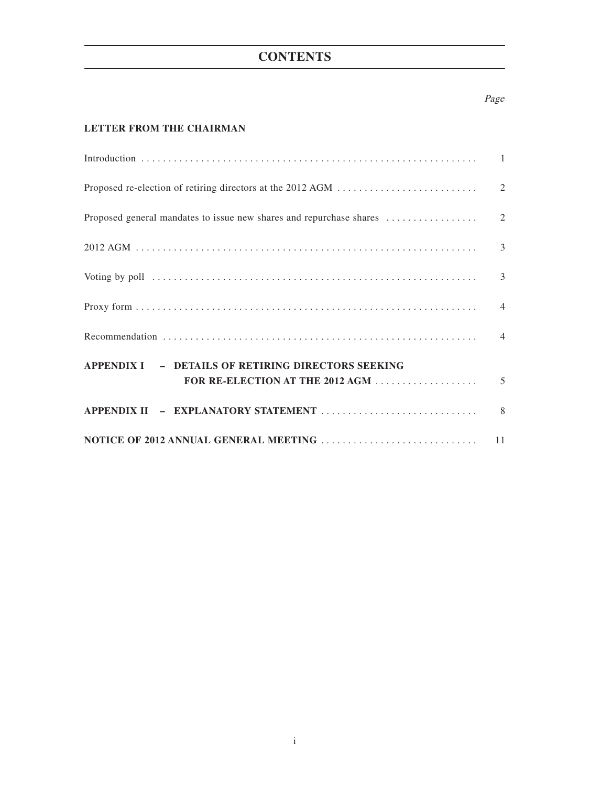## **CONTENTS**

### Page

## **LETTER FROM THE CHAIRMAN**

| Voting by poll (a) and (b) and (b) and (b) and (b) and (b) and (b) and (b) and (b) and (b) and (b) and (b) and (b) and (b) and (b) and (b) and (b) and (b) and (b) and (b) and (b) and (b) and (b) and (b) and (b) and (b) and |  |
|--------------------------------------------------------------------------------------------------------------------------------------------------------------------------------------------------------------------------------|--|
|                                                                                                                                                                                                                                |  |
|                                                                                                                                                                                                                                |  |
| APPENDIX I - DETAILS OF RETIRING DIRECTORS SEEKING<br>FOR RE-ELECTION AT THE 2012 AGM $\ldots$ $\ldots$ $\ldots$ $\ldots$ $\ldots$ 5                                                                                           |  |
|                                                                                                                                                                                                                                |  |
|                                                                                                                                                                                                                                |  |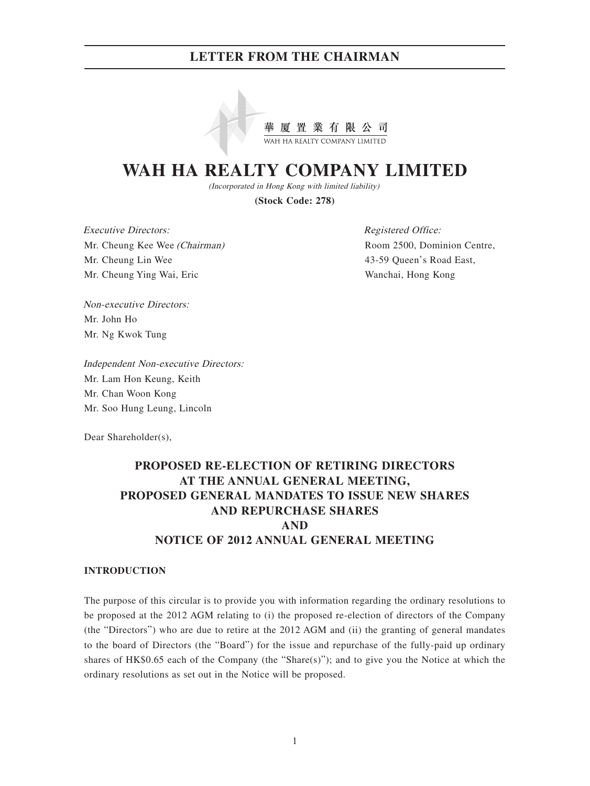

# **WAH HA REALTY COMPANY LIMITED**

(Incorporated in Hong Kong with limited liability)

**(Stock Code: 278)**

Executive Directors: Mr. Cheung Kee Wee (Chairman) Mr. Cheung Lin Wee Mr. Cheung Ying Wai, Eric

Registered Office: Room 2500, Dominion Centre, 43-59 Queen's Road East, Wanchai, Hong Kong

Non-executive Directors: Mr. John Ho Mr. Ng Kwok Tung

Independent Non-executive Directors: Mr. Lam Hon Keung, Keith Mr. Chan Woon Kong Mr. Soo Hung Leung, Lincoln

Dear Shareholder(s),

## **PROPOSED RE-ELECTION OF RETIRING DIRECTORS AT THE ANNUAL GENERAL MEETING, PROPOSED GENERAL MANDATES TO ISSUE NEW SHARES AND REPURCHASE SHARES AND NOTICE OF 2012 ANNUAL GENERAL MEETING**

#### **INTRODUCTION**

The purpose of this circular is to provide you with information regarding the ordinary resolutions to be proposed at the 2012 AGM relating to (i) the proposed re-election of directors of the Company (the "Directors") who are due to retire at the 2012 AGM and (ii) the granting of general mandates to the board of Directors (the "Board") for the issue and repurchase of the fully-paid up ordinary shares of  $HK$0.65$  each of the Company (the "Share(s)"); and to give you the Notice at which the ordinary resolutions as set out in the Notice will be proposed.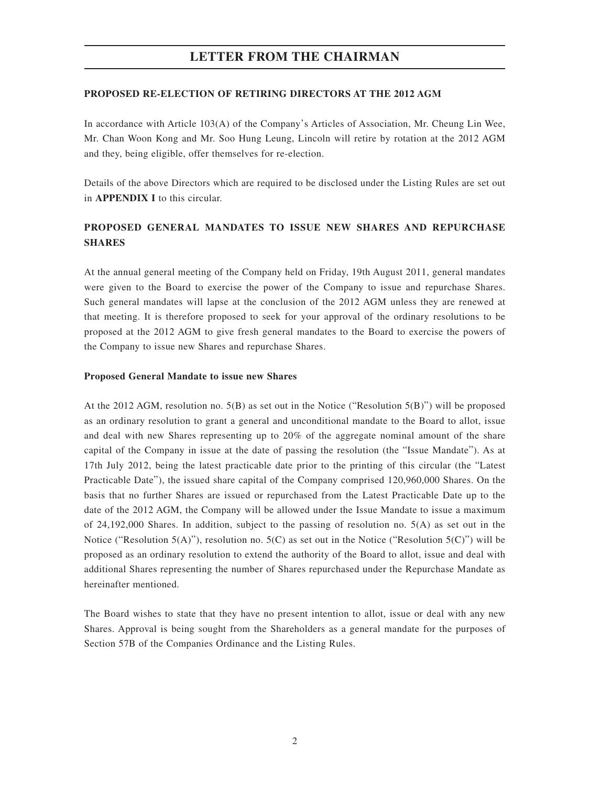#### **PROPOSED RE-ELECTION OF RETIRING DIRECTORS AT THE 2012 AGM**

In accordance with Article 103(A) of the Company's Articles of Association, Mr. Cheung Lin Wee, Mr. Chan Woon Kong and Mr. Soo Hung Leung, Lincoln will retire by rotation at the 2012 AGM and they, being eligible, offer themselves for re-election.

Details of the above Directors which are required to be disclosed under the Listing Rules are set out in **APPENDIX I** to this circular.

## **PROPOSED GENERAL MANDATES TO ISSUE NEW SHARES AND REPURCHASE SHARES**

At the annual general meeting of the Company held on Friday, 19th August 2011, general mandates were given to the Board to exercise the power of the Company to issue and repurchase Shares. Such general mandates will lapse at the conclusion of the 2012 AGM unless they are renewed at that meeting. It is therefore proposed to seek for your approval of the ordinary resolutions to be proposed at the 2012 AGM to give fresh general mandates to the Board to exercise the powers of the Company to issue new Shares and repurchase Shares.

#### **Proposed General Mandate to issue new Shares**

At the 2012 AGM, resolution no. 5(B) as set out in the Notice ("Resolution 5(B)") will be proposed as an ordinary resolution to grant a general and unconditional mandate to the Board to allot, issue and deal with new Shares representing up to 20% of the aggregate nominal amount of the share capital of the Company in issue at the date of passing the resolution (the "Issue Mandate"). As at 17th July 2012, being the latest practicable date prior to the printing of this circular (the "Latest Practicable Date"), the issued share capital of the Company comprised 120,960,000 Shares. On the basis that no further Shares are issued or repurchased from the Latest Practicable Date up to the date of the 2012 AGM, the Company will be allowed under the Issue Mandate to issue a maximum of 24,192,000 Shares. In addition, subject to the passing of resolution no. 5(A) as set out in the Notice ("Resolution  $5(A)$ "), resolution no.  $5(C)$  as set out in the Notice ("Resolution  $5(C)$ ") will be proposed as an ordinary resolution to extend the authority of the Board to allot, issue and deal with additional Shares representing the number of Shares repurchased under the Repurchase Mandate as hereinafter mentioned.

The Board wishes to state that they have no present intention to allot, issue or deal with any new Shares. Approval is being sought from the Shareholders as a general mandate for the purposes of Section 57B of the Companies Ordinance and the Listing Rules.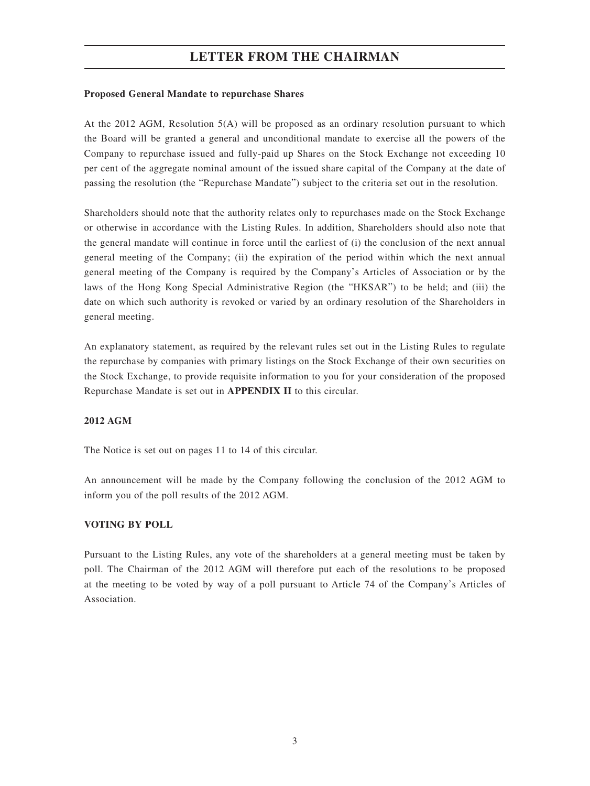### **Proposed General Mandate to repurchase Shares**

At the 2012 AGM, Resolution 5(A) will be proposed as an ordinary resolution pursuant to which the Board will be granted a general and unconditional mandate to exercise all the powers of the Company to repurchase issued and fully-paid up Shares on the Stock Exchange not exceeding 10 per cent of the aggregate nominal amount of the issued share capital of the Company at the date of passing the resolution (the "Repurchase Mandate") subject to the criteria set out in the resolution.

Shareholders should note that the authority relates only to repurchases made on the Stock Exchange or otherwise in accordance with the Listing Rules. In addition, Shareholders should also note that the general mandate will continue in force until the earliest of (i) the conclusion of the next annual general meeting of the Company; (ii) the expiration of the period within which the next annual general meeting of the Company is required by the Company's Articles of Association or by the laws of the Hong Kong Special Administrative Region (the "HKSAR") to be held; and (iii) the date on which such authority is revoked or varied by an ordinary resolution of the Shareholders in general meeting.

An explanatory statement, as required by the relevant rules set out in the Listing Rules to regulate the repurchase by companies with primary listings on the Stock Exchange of their own securities on the Stock Exchange, to provide requisite information to you for your consideration of the proposed Repurchase Mandate is set out in **APPENDIX II** to this circular.

#### **2012 AGM**

The Notice is set out on pages 11 to 14 of this circular.

An announcement will be made by the Company following the conclusion of the 2012 AGM to inform you of the poll results of the 2012 AGM.

## **VOTING BY POLL**

Pursuant to the Listing Rules, any vote of the shareholders at a general meeting must be taken by poll. The Chairman of the 2012 AGM will therefore put each of the resolutions to be proposed at the meeting to be voted by way of a poll pursuant to Article 74 of the Company's Articles of Association.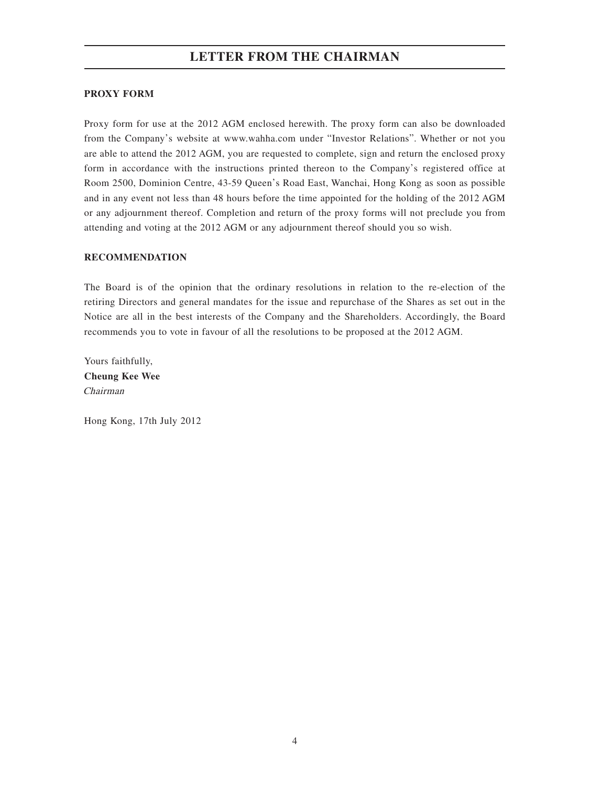### **PROXY FORM**

Proxy form for use at the 2012 AGM enclosed herewith. The proxy form can also be downloaded from the Company's website at www.wahha.com under "Investor Relations". Whether or not you are able to attend the 2012 AGM, you are requested to complete, sign and return the enclosed proxy form in accordance with the instructions printed thereon to the Company's registered office at Room 2500, Dominion Centre, 43-59 Queen's Road East, Wanchai, Hong Kong as soon as possible and in any event not less than 48 hours before the time appointed for the holding of the 2012 AGM or any adjournment thereof. Completion and return of the proxy forms will not preclude you from attending and voting at the 2012 AGM or any adjournment thereof should you so wish.

### **RECOMMENDATION**

The Board is of the opinion that the ordinary resolutions in relation to the re-election of the retiring Directors and general mandates for the issue and repurchase of the Shares as set out in the Notice are all in the best interests of the Company and the Shareholders. Accordingly, the Board recommends you to vote in favour of all the resolutions to be proposed at the 2012 AGM.

Yours faithfully, **Cheung Kee Wee** Chairman

Hong Kong, 17th July 2012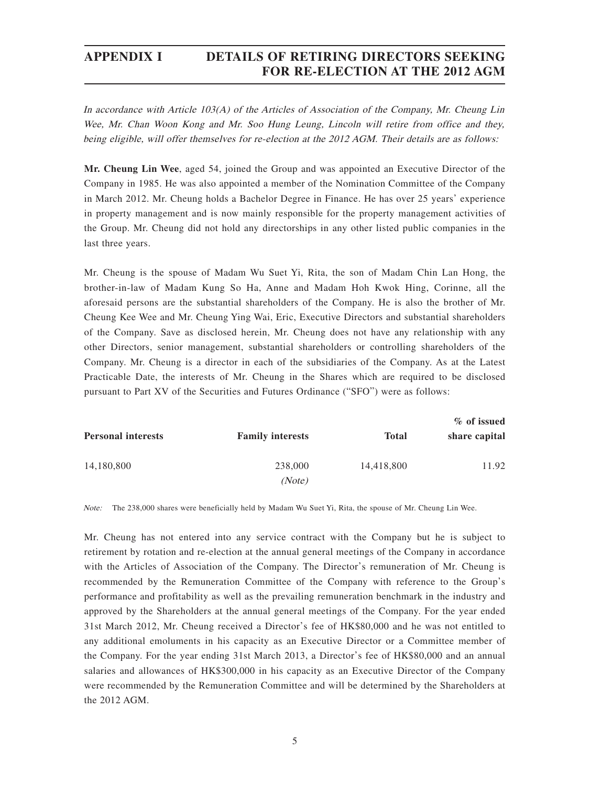## **APPENDIX I DETAILS OF RETIRING DIRECTORS SEEKING FOR RE-ELECTION AT THE 2012 AGM**

In accordance with Article 103(A) of the Articles of Association of the Company, Mr. Cheung Lin Wee, Mr. Chan Woon Kong and Mr. Soo Hung Leung, Lincoln will retire from office and they, being eligible, will offer themselves for re-election at the 2012 AGM. Their details are as follows:

**Mr. Cheung Lin Wee**, aged 54, joined the Group and was appointed an Executive Director of the Company in 1985. He was also appointed a member of the Nomination Committee of the Company in March 2012. Mr. Cheung holds a Bachelor Degree in Finance. He has over 25 years' experience in property management and is now mainly responsible for the property management activities of the Group. Mr. Cheung did not hold any directorships in any other listed public companies in the last three years.

Mr. Cheung is the spouse of Madam Wu Suet Yi, Rita, the son of Madam Chin Lan Hong, the brother-in-law of Madam Kung So Ha, Anne and Madam Hoh Kwok Hing, Corinne, all the aforesaid persons are the substantial shareholders of the Company. He is also the brother of Mr. Cheung Kee Wee and Mr. Cheung Ying Wai, Eric, Executive Directors and substantial shareholders of the Company. Save as disclosed herein, Mr. Cheung does not have any relationship with any other Directors, senior management, substantial shareholders or controlling shareholders of the Company. Mr. Cheung is a director in each of the subsidiaries of the Company. As at the Latest Practicable Date, the interests of Mr. Cheung in the Shares which are required to be disclosed pursuant to Part XV of the Securities and Futures Ordinance ("SFO") were as follows:

| <b>Personal interests</b> | <b>Family interests</b> | <b>Total</b> | % of issued<br>share capital |
|---------------------------|-------------------------|--------------|------------------------------|
| 14,180,800                | 238,000<br>(Note)       | 14,418,800   | 11.92                        |

Note: The 238,000 shares were beneficially held by Madam Wu Suet Yi, Rita, the spouse of Mr. Cheung Lin Wee.

Mr. Cheung has not entered into any service contract with the Company but he is subject to retirement by rotation and re-election at the annual general meetings of the Company in accordance with the Articles of Association of the Company. The Director's remuneration of Mr. Cheung is recommended by the Remuneration Committee of the Company with reference to the Group's performance and profitability as well as the prevailing remuneration benchmark in the industry and approved by the Shareholders at the annual general meetings of the Company. For the year ended 31st March 2012, Mr. Cheung received a Director's fee of HK\$80,000 and he was not entitled to any additional emoluments in his capacity as an Executive Director or a Committee member of the Company. For the year ending 31st March 2013, a Director's fee of HK\$80,000 and an annual salaries and allowances of HK\$300,000 in his capacity as an Executive Director of the Company were recommended by the Remuneration Committee and will be determined by the Shareholders at the 2012 AGM.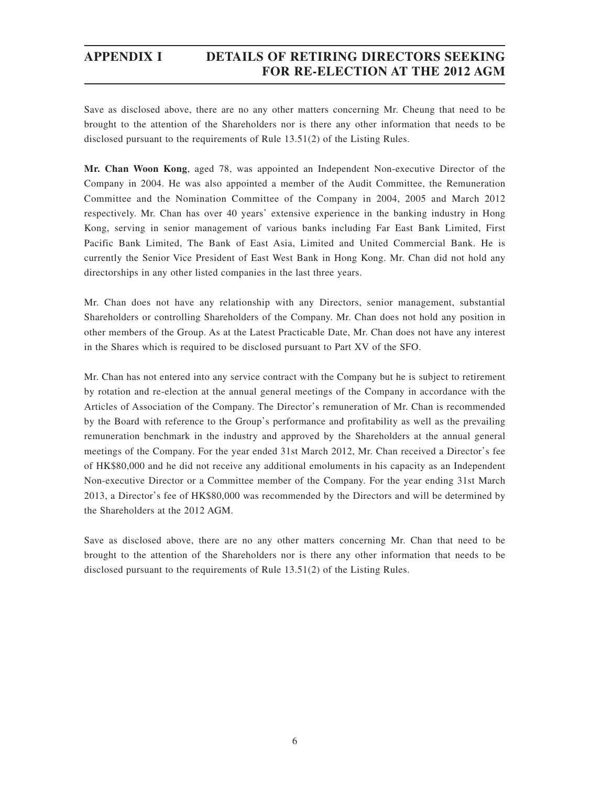## **APPENDIX I DETAILS OF RETIRING DIRECTORS SEEKING FOR RE-ELECTION AT THE 2012 AGM**

Save as disclosed above, there are no any other matters concerning Mr. Cheung that need to be brought to the attention of the Shareholders nor is there any other information that needs to be disclosed pursuant to the requirements of Rule 13.51(2) of the Listing Rules.

**Mr. Chan Woon Kong**, aged 78, was appointed an Independent Non-executive Director of the Company in 2004. He was also appointed a member of the Audit Committee, the Remuneration Committee and the Nomination Committee of the Company in 2004, 2005 and March 2012 respectively. Mr. Chan has over 40 years' extensive experience in the banking industry in Hong Kong, serving in senior management of various banks including Far East Bank Limited, First Pacific Bank Limited, The Bank of East Asia, Limited and United Commercial Bank. He is currently the Senior Vice President of East West Bank in Hong Kong. Mr. Chan did not hold any directorships in any other listed companies in the last three years.

Mr. Chan does not have any relationship with any Directors, senior management, substantial Shareholders or controlling Shareholders of the Company. Mr. Chan does not hold any position in other members of the Group. As at the Latest Practicable Date, Mr. Chan does not have any interest in the Shares which is required to be disclosed pursuant to Part XV of the SFO.

Mr. Chan has not entered into any service contract with the Company but he is subject to retirement by rotation and re-election at the annual general meetings of the Company in accordance with the Articles of Association of the Company. The Director's remuneration of Mr. Chan is recommended by the Board with reference to the Group's performance and profitability as well as the prevailing remuneration benchmark in the industry and approved by the Shareholders at the annual general meetings of the Company. For the year ended 31st March 2012, Mr. Chan received a Director's fee of HK\$80,000 and he did not receive any additional emoluments in his capacity as an Independent Non-executive Director or a Committee member of the Company. For the year ending 31st March 2013, a Director's fee of HK\$80,000 was recommended by the Directors and will be determined by the Shareholders at the 2012 AGM.

Save as disclosed above, there are no any other matters concerning Mr. Chan that need to be brought to the attention of the Shareholders nor is there any other information that needs to be disclosed pursuant to the requirements of Rule 13.51(2) of the Listing Rules.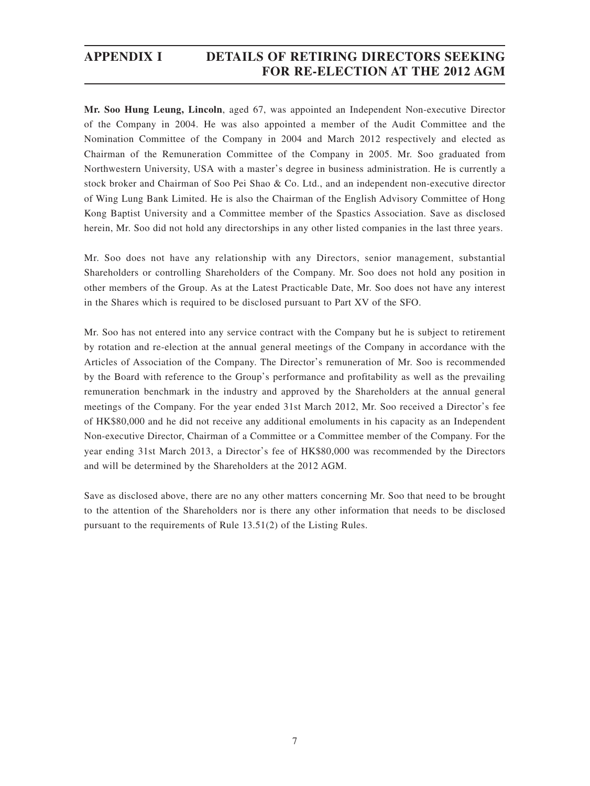## **APPENDIX I DETAILS OF RETIRING DIRECTORS SEEKING FOR RE-ELECTION AT THE 2012 AGM**

**Mr. Soo Hung Leung, Lincoln**, aged 67, was appointed an Independent Non-executive Director of the Company in 2004. He was also appointed a member of the Audit Committee and the Nomination Committee of the Company in 2004 and March 2012 respectively and elected as Chairman of the Remuneration Committee of the Company in 2005. Mr. Soo graduated from Northwestern University, USA with a master's degree in business administration. He is currently a stock broker and Chairman of Soo Pei Shao & Co. Ltd., and an independent non-executive director of Wing Lung Bank Limited. He is also the Chairman of the English Advisory Committee of Hong Kong Baptist University and a Committee member of the Spastics Association. Save as disclosed herein, Mr. Soo did not hold any directorships in any other listed companies in the last three years.

Mr. Soo does not have any relationship with any Directors, senior management, substantial Shareholders or controlling Shareholders of the Company. Mr. Soo does not hold any position in other members of the Group. As at the Latest Practicable Date, Mr. Soo does not have any interest in the Shares which is required to be disclosed pursuant to Part XV of the SFO.

Mr. Soo has not entered into any service contract with the Company but he is subject to retirement by rotation and re-election at the annual general meetings of the Company in accordance with the Articles of Association of the Company. The Director's remuneration of Mr. Soo is recommended by the Board with reference to the Group's performance and profitability as well as the prevailing remuneration benchmark in the industry and approved by the Shareholders at the annual general meetings of the Company. For the year ended 31st March 2012, Mr. Soo received a Director's fee of HK\$80,000 and he did not receive any additional emoluments in his capacity as an Independent Non-executive Director, Chairman of a Committee or a Committee member of the Company. For the year ending 31st March 2013, a Director's fee of HK\$80,000 was recommended by the Directors and will be determined by the Shareholders at the 2012 AGM.

Save as disclosed above, there are no any other matters concerning Mr. Soo that need to be brought to the attention of the Shareholders nor is there any other information that needs to be disclosed pursuant to the requirements of Rule 13.51(2) of the Listing Rules.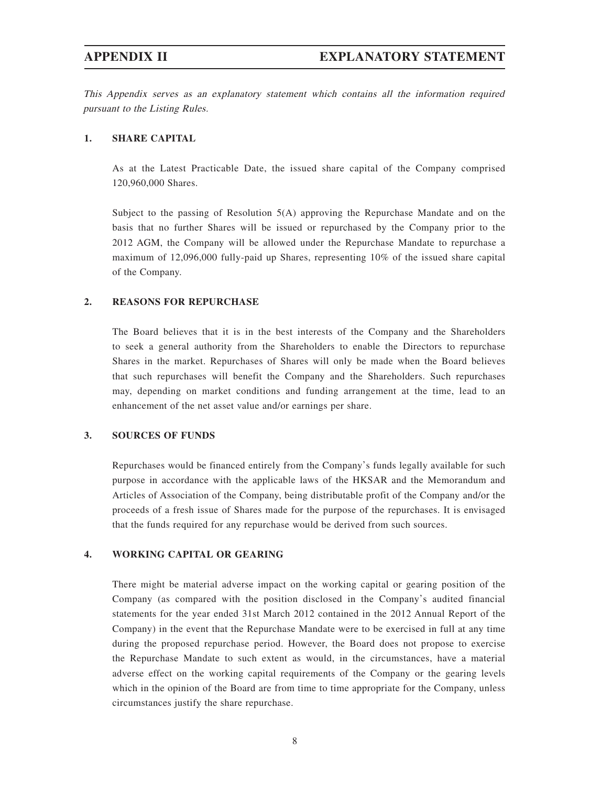This Appendix serves as an explanatory statement which contains all the information required pursuant to the Listing Rules.

#### **1. SHARE CAPITAL**

As at the Latest Practicable Date, the issued share capital of the Company comprised 120,960,000 Shares.

Subject to the passing of Resolution 5(A) approving the Repurchase Mandate and on the basis that no further Shares will be issued or repurchased by the Company prior to the 2012 AGM, the Company will be allowed under the Repurchase Mandate to repurchase a maximum of 12,096,000 fully-paid up Shares, representing 10% of the issued share capital of the Company.

#### **2. REASONS FOR REPURCHASE**

The Board believes that it is in the best interests of the Company and the Shareholders to seek a general authority from the Shareholders to enable the Directors to repurchase Shares in the market. Repurchases of Shares will only be made when the Board believes that such repurchases will benefit the Company and the Shareholders. Such repurchases may, depending on market conditions and funding arrangement at the time, lead to an enhancement of the net asset value and/or earnings per share.

#### **3. SOURCES OF FUNDS**

Repurchases would be financed entirely from the Company's funds legally available for such purpose in accordance with the applicable laws of the HKSAR and the Memorandum and Articles of Association of the Company, being distributable profit of the Company and/or the proceeds of a fresh issue of Shares made for the purpose of the repurchases. It is envisaged that the funds required for any repurchase would be derived from such sources.

### **4. WORKING CAPITAL OR GEARING**

There might be material adverse impact on the working capital or gearing position of the Company (as compared with the position disclosed in the Company's audited financial statements for the year ended 31st March 2012 contained in the 2012 Annual Report of the Company) in the event that the Repurchase Mandate were to be exercised in full at any time during the proposed repurchase period. However, the Board does not propose to exercise the Repurchase Mandate to such extent as would, in the circumstances, have a material adverse effect on the working capital requirements of the Company or the gearing levels which in the opinion of the Board are from time to time appropriate for the Company, unless circumstances justify the share repurchase.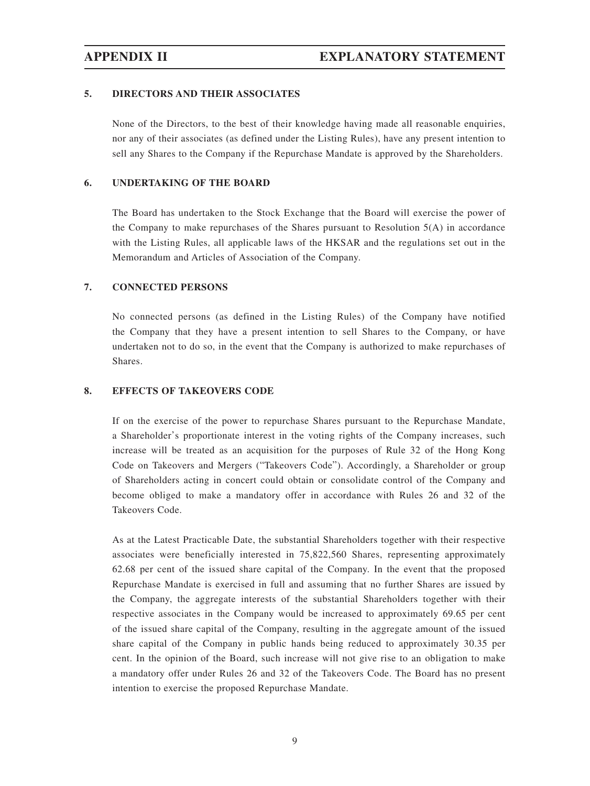### **5. DIRECTORS AND THEIR ASSOCIATES**

None of the Directors, to the best of their knowledge having made all reasonable enquiries, nor any of their associates (as defined under the Listing Rules), have any present intention to sell any Shares to the Company if the Repurchase Mandate is approved by the Shareholders.

#### **6. UNDERTAKING OF THE BOARD**

The Board has undertaken to the Stock Exchange that the Board will exercise the power of the Company to make repurchases of the Shares pursuant to Resolution  $5(A)$  in accordance with the Listing Rules, all applicable laws of the HKSAR and the regulations set out in the Memorandum and Articles of Association of the Company.

## **7. CONNECTED PERSONS**

No connected persons (as defined in the Listing Rules) of the Company have notified the Company that they have a present intention to sell Shares to the Company, or have undertaken not to do so, in the event that the Company is authorized to make repurchases of Shares.

#### **8. EFFECTS OF TAKEOVERS CODE**

If on the exercise of the power to repurchase Shares pursuant to the Repurchase Mandate, a Shareholder's proportionate interest in the voting rights of the Company increases, such increase will be treated as an acquisition for the purposes of Rule 32 of the Hong Kong Code on Takeovers and Mergers ("Takeovers Code"). Accordingly, a Shareholder or group of Shareholders acting in concert could obtain or consolidate control of the Company and become obliged to make a mandatory offer in accordance with Rules 26 and 32 of the Takeovers Code.

As at the Latest Practicable Date, the substantial Shareholders together with their respective associates were beneficially interested in 75,822,560 Shares, representing approximately 62.68 per cent of the issued share capital of the Company. In the event that the proposed Repurchase Mandate is exercised in full and assuming that no further Shares are issued by the Company, the aggregate interests of the substantial Shareholders together with their respective associates in the Company would be increased to approximately 69.65 per cent of the issued share capital of the Company, resulting in the aggregate amount of the issued share capital of the Company in public hands being reduced to approximately 30.35 per cent. In the opinion of the Board, such increase will not give rise to an obligation to make a mandatory offer under Rules 26 and 32 of the Takeovers Code. The Board has no present intention to exercise the proposed Repurchase Mandate.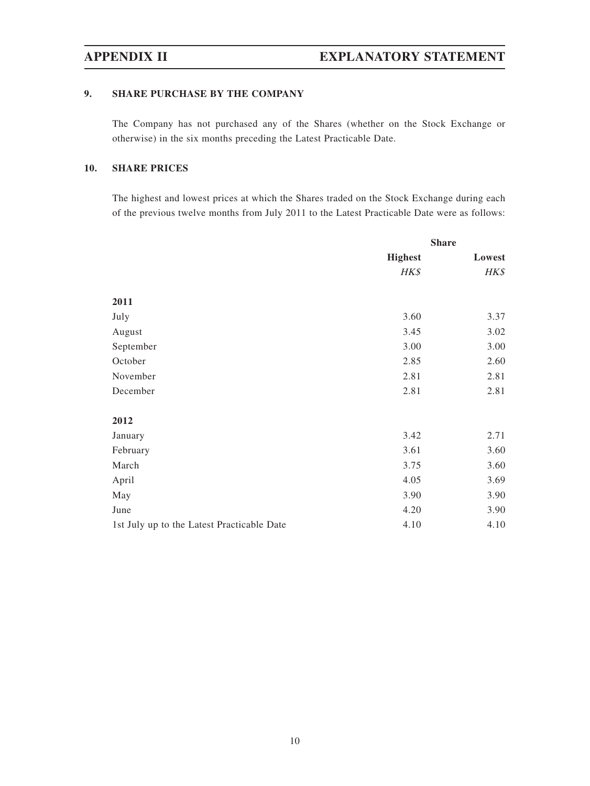## **9. SHARE PURCHASE BY THE COMPANY**

The Company has not purchased any of the Shares (whether on the Stock Exchange or otherwise) in the six months preceding the Latest Practicable Date.

## **10. SHARE PRICES**

The highest and lowest prices at which the Shares traded on the Stock Exchange during each of the previous twelve months from July 2011 to the Latest Practicable Date were as follows:

|                                            | <b>Share</b>   |        |
|--------------------------------------------|----------------|--------|
|                                            | <b>Highest</b> | Lowest |
|                                            | HK\$           | HK\$   |
| 2011                                       |                |        |
| July                                       | 3.60           | 3.37   |
|                                            |                |        |
| August                                     | 3.45           | 3.02   |
| September                                  | 3.00           | 3.00   |
| October                                    | 2.85           | 2.60   |
| November                                   | 2.81           | 2.81   |
| December                                   | 2.81           | 2.81   |
| 2012                                       |                |        |
| January                                    | 3.42           | 2.71   |
| February                                   | 3.61           | 3.60   |
| March                                      | 3.75           | 3.60   |
| April                                      | 4.05           | 3.69   |
| May                                        | 3.90           | 3.90   |
| June                                       | 4.20           | 3.90   |
| 1st July up to the Latest Practicable Date | 4.10           | 4.10   |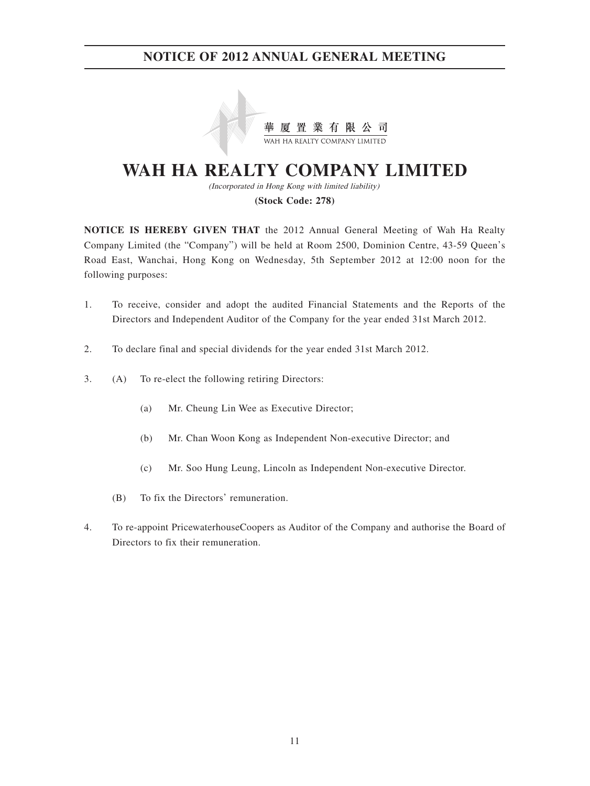

# **WAH HA REALTY COMPANY LIMITED**

(Incorporated in Hong Kong with limited liability) **(Stock Code: 278)**

**NOTICE IS HEREBY GIVEN THAT** the 2012 Annual General Meeting of Wah Ha Realty Company Limited (the "Company") will be held at Room 2500, Dominion Centre, 43-59 Queen's Road East, Wanchai, Hong Kong on Wednesday, 5th September 2012 at 12:00 noon for the following purposes:

- 1. To receive, consider and adopt the audited Financial Statements and the Reports of the Directors and Independent Auditor of the Company for the year ended 31st March 2012.
- 2. To declare final and special dividends for the year ended 31st March 2012.
- 3. (A) To re-elect the following retiring Directors:
	- (a) Mr. Cheung Lin Wee as Executive Director;
	- (b) Mr. Chan Woon Kong as Independent Non-executive Director; and
	- (c) Mr. Soo Hung Leung, Lincoln as Independent Non-executive Director.
	- (B) To fix the Directors' remuneration.
- 4. To re-appoint PricewaterhouseCoopers as Auditor of the Company and authorise the Board of Directors to fix their remuneration.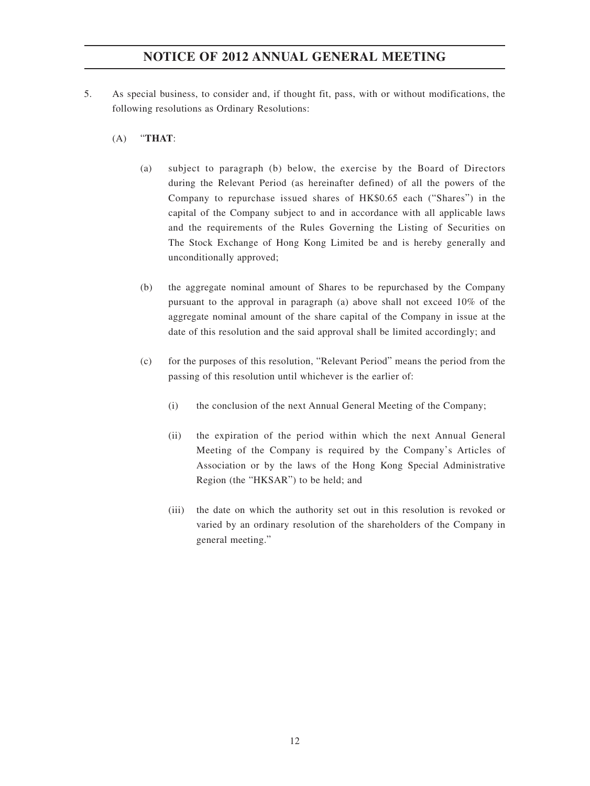- 5. As special business, to consider and, if thought fit, pass, with or without modifications, the following resolutions as Ordinary Resolutions:
	- (A) "**THAT**:
		- (a) subject to paragraph (b) below, the exercise by the Board of Directors during the Relevant Period (as hereinafter defined) of all the powers of the Company to repurchase issued shares of HK\$0.65 each ("Shares") in the capital of the Company subject to and in accordance with all applicable laws and the requirements of the Rules Governing the Listing of Securities on The Stock Exchange of Hong Kong Limited be and is hereby generally and unconditionally approved;
		- (b) the aggregate nominal amount of Shares to be repurchased by the Company pursuant to the approval in paragraph (a) above shall not exceed 10% of the aggregate nominal amount of the share capital of the Company in issue at the date of this resolution and the said approval shall be limited accordingly; and
		- (c) for the purposes of this resolution, "Relevant Period" means the period from the passing of this resolution until whichever is the earlier of:
			- (i) the conclusion of the next Annual General Meeting of the Company;
			- (ii) the expiration of the period within which the next Annual General Meeting of the Company is required by the Company's Articles of Association or by the laws of the Hong Kong Special Administrative Region (the "HKSAR") to be held; and
			- (iii) the date on which the authority set out in this resolution is revoked or varied by an ordinary resolution of the shareholders of the Company in general meeting."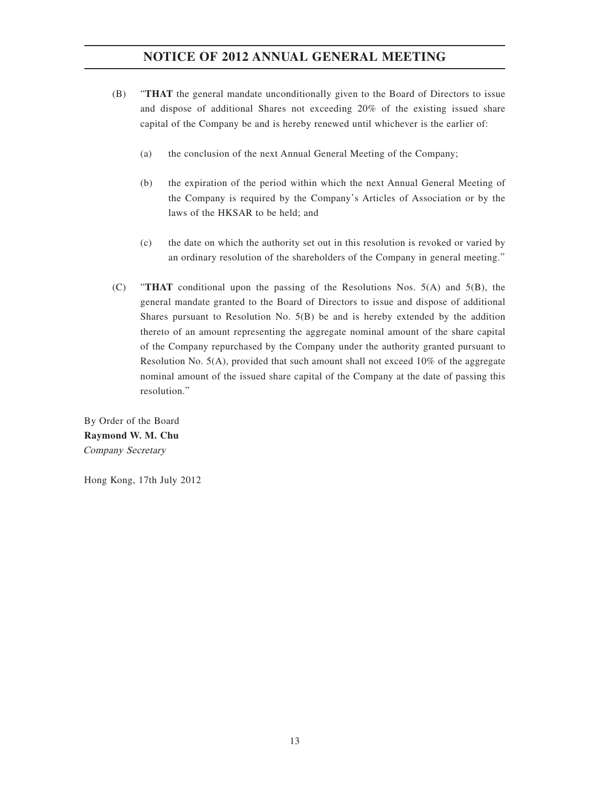- (B) "**THAT** the general mandate unconditionally given to the Board of Directors to issue and dispose of additional Shares not exceeding 20% of the existing issued share capital of the Company be and is hereby renewed until whichever is the earlier of:
	- (a) the conclusion of the next Annual General Meeting of the Company;
	- (b) the expiration of the period within which the next Annual General Meeting of the Company is required by the Company's Articles of Association or by the laws of the HKSAR to be held; and
	- (c) the date on which the authority set out in this resolution is revoked or varied by an ordinary resolution of the shareholders of the Company in general meeting."
- (C) "**THAT** conditional upon the passing of the Resolutions Nos. 5(A) and 5(B), the general mandate granted to the Board of Directors to issue and dispose of additional Shares pursuant to Resolution No. 5(B) be and is hereby extended by the addition thereto of an amount representing the aggregate nominal amount of the share capital of the Company repurchased by the Company under the authority granted pursuant to Resolution No. 5(A), provided that such amount shall not exceed 10% of the aggregate nominal amount of the issued share capital of the Company at the date of passing this resolution."

By Order of the Board **Raymond W. M. Chu** Company Secretary

Hong Kong, 17th July 2012